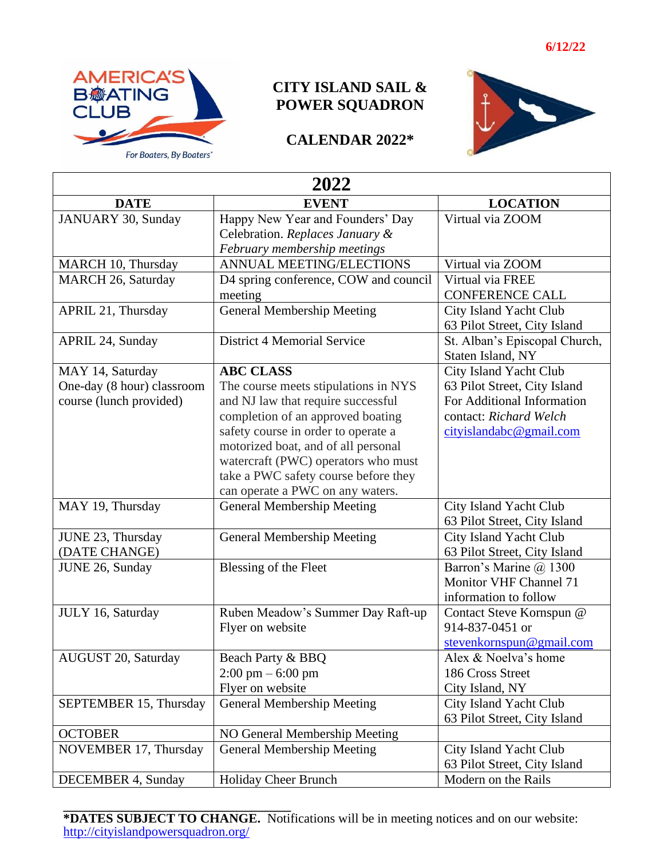

## **CITY ISLAND SAIL & POWER SQUADRON**

## **CALENDAR 2022\***



| 2022                       |                                       |                               |
|----------------------------|---------------------------------------|-------------------------------|
| <b>DATE</b>                | <b>EVENT</b>                          | <b>LOCATION</b>               |
| JANUARY 30, Sunday         | Happy New Year and Founders' Day      | Virtual via ZOOM              |
|                            | Celebration. Replaces January &       |                               |
|                            | February membership meetings          |                               |
| MARCH 10, Thursday         | ANNUAL MEETING/ELECTIONS              | Virtual via ZOOM              |
| MARCH 26, Saturday         | D4 spring conference, COW and council | Virtual via FREE              |
|                            | meeting                               | <b>CONFERENCE CALL</b>        |
| APRIL 21, Thursday         | <b>General Membership Meeting</b>     | City Island Yacht Club        |
|                            |                                       | 63 Pilot Street, City Island  |
| APRIL 24, Sunday           | <b>District 4 Memorial Service</b>    | St. Alban's Episcopal Church, |
|                            |                                       | Staten Island, NY             |
| MAY 14, Saturday           | <b>ABC CLASS</b>                      | City Island Yacht Club        |
| One-day (8 hour) classroom | The course meets stipulations in NYS  | 63 Pilot Street, City Island  |
| course (lunch provided)    | and NJ law that require successful    | For Additional Information    |
|                            | completion of an approved boating     | contact: Richard Welch        |
|                            | safety course in order to operate a   | cityislandabc@gmail.com       |
|                            | motorized boat, and of all personal   |                               |
|                            | watercraft (PWC) operators who must   |                               |
|                            | take a PWC safety course before they  |                               |
|                            | can operate a PWC on any waters.      |                               |
| MAY 19, Thursday           | <b>General Membership Meeting</b>     | City Island Yacht Club        |
|                            |                                       | 63 Pilot Street, City Island  |
| JUNE 23, Thursday          | <b>General Membership Meeting</b>     | City Island Yacht Club        |
| (DATE CHANGE)              |                                       | 63 Pilot Street, City Island  |
| JUNE 26, Sunday            | Blessing of the Fleet                 | Barron's Marine @ 1300        |
|                            |                                       | Monitor VHF Channel 71        |
|                            |                                       | information to follow         |
| JULY 16, Saturday          | Ruben Meadow's Summer Day Raft-up     | Contact Steve Kornspun @      |
|                            | Flyer on website                      | 914-837-0451 or               |
|                            |                                       | stevenkornspun@gmail.com      |
| AUGUST 20, Saturday        | Beach Party & BBQ                     | Alex & Noelva's home          |
|                            | $2:00 \text{ pm} - 6:00 \text{ pm}$   | 186 Cross Street              |
|                            | Flyer on website                      | City Island, NY               |
| SEPTEMBER 15, Thursday     | <b>General Membership Meeting</b>     | City Island Yacht Club        |
|                            |                                       | 63 Pilot Street, City Island  |
| <b>OCTOBER</b>             | NO General Membership Meeting         |                               |
| NOVEMBER 17, Thursday      | <b>General Membership Meeting</b>     | City Island Yacht Club        |
|                            |                                       | 63 Pilot Street, City Island  |
| <b>DECEMBER 4, Sunday</b>  | Holiday Cheer Brunch                  | Modern on the Rails           |

**\_\_\_\_\_\_\_\_\_\_\_\_\_\_\_\_\_\_\_\_\_\_\_\_\_\_\_\_\_\_\_\_\_\_\_ \*DATES SUBJECT TO CHANGE.** Notifications will be in meeting notices and on our website: <http://cityislandpowersquadron.org/>